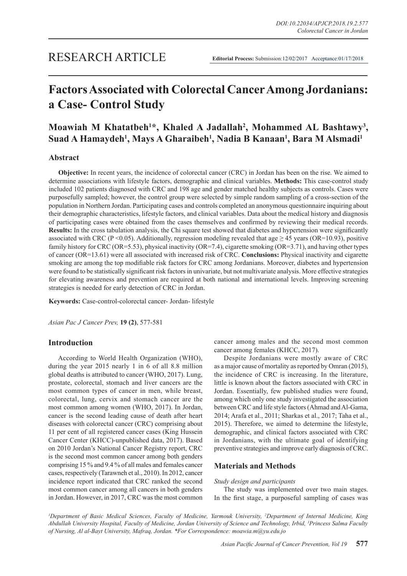# **Factors Associated with Colorectal Cancer Among Jordanians: a Case- Control Study**

# Moawiah M Khatatbeh<sup>1\*</sup>, Khaled A Jadallah<sup>2</sup>, Mohammed AL Bashtawy<sup>3</sup>, **Suad A Hamaydeh1 , Mays A Gharaibeh1 , Nadia B Kanaan1 , Bara M Alsmadi1**

# **Abstract**

**Objective:** In recent years, the incidence of colorectal cancer (CRC) in Jordan has been on the rise. We aimed to determine associations with lifestyle factors, demographic and clinical variables. **Methods:** This case-control study included 102 patients diagnosed with CRC and 198 age and gender matched healthy subjects as controls. Cases were purposefully sampled; however, the control group were selected by simple random sampling of a cross-section of the population in Northern Jordan. Participating cases and controls completed an anonymous questionnaire inquiring about their demographic characteristics, lifestyle factors, and clinical variables. Data about the medical history and diagnosis of participating cases were obtained from the cases themselves and confirmed by reviewing their medical records. **Results:** In the cross tabulation analysis, the Chi square test showed that diabetes and hypertension were significantly associated with CRC (P <0.05). Additionally, regression modeling revealed that age  $\geq$  45 years (OR=10.93), positive family history for CRC (OR=5.53), physical inactivity (OR=7.4), cigarette smoking (OR=3.71), and having other types of cancer (OR=13.61) were all associated with increased risk of CRC. **Conclusions:** Physical inactivity and cigarette smoking are among the top modifiable risk factors for CRC among Jordanians. Moreover, diabetes and hypertension were found to be statistically significant risk factors in univariate, but not multivariate analysis. More effective strategies for elevating awareness and prevention are required at both national and international levels. Improving screening strategies is needed for early detection of CRC in Jordan.

**Keywords:** Case-control-colorectal cancer- Jordan- lifestyle

*Asian Pac J Cancer Prev,* **19 (2)**, 577-581

# **Introduction**

According to World Health Organization (WHO), during the year 2015 nearly 1 in 6 of all 8.8 million global deaths is attributed to cancer (WHO, 2017). Lung, prostate, colorectal, stomach and liver cancers are the most common types of cancer in men, while breast, colorectal, lung, cervix and stomach cancer are the most common among women (WHO, 2017). In Jordan, cancer is the second leading cause of death after heart diseases with colorectal cancer (CRC) comprising about 11 per cent of all registered cancer cases (King Hussein Cancer Center (KHCC)-unpublished data, 2017). Based on 2010 Jordan's National Cancer Registry report, CRC is the second most common cancer among both genders comprising 15 % and 9.4 % of all males and females cancer cases, respectively (Tarawneh et al., 2010). In 2012, cancer incidence report indicated that CRC ranked the second most common cancer among all cancers in both genders in Jordan. However, in 2017, CRC was the most common cancer among males and the second most common cancer among females (KHCC, 2017).

Despite Jordanians were mostly aware of CRC as a major cause of mortality as reported by Omran (2015), the incidence of CRC is increasing. In the literature, little is known about the factors associated with CRC in Jordan. Essentially, few published studies were found, among which only one study investigated the association between CRC and life style factors (Ahmad and Al-Gama, 2014; Arafa et al., 2011; Sharkas et al., 2017; Taha et al., 2015). Therefore, we aimed to determine the lifestyle, demographic, and clinical factors associated with CRC in Jordanians, with the ultimate goal of identifying preventive strategies and improve early diagnosis of CRC.

### **Materials and Methods**

#### *Study design and participants*

The study was implemented over two main stages. In the first stage, a purposeful sampling of cases was

*1 Department of Basic Medical Sciences, Faculty of Medicine, Yarmouk University, 2 Department of Internal Medicine, King Abdullah University Hospital, Faculty of Medicine, Jordan University of Science and Technology, Irbid, 3 Princess Salma Faculty of Nursing, Al al-Bayt University, Mafraq, Jordan. \*For Correspondence: moawia.m@yu.edu.jo*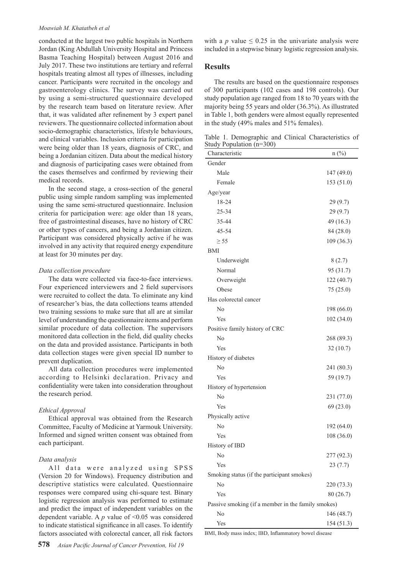#### *Moawiah M. Khatatbeh et al*

conducted at the largest two public hospitals in Northern Jordan (King Abdullah University Hospital and Princess Basma Teaching Hospital) between August 2016 and July 2017. These two institutions are tertiary and referral hospitals treating almost all types of illnesses, including cancer. Participants were recruited in the oncology and gastroenterology clinics. The survey was carried out by using a semi-structured questionnaire developed by the research team based on literature review. After that, it was validated after refinement by 3 expert panel reviewers. The questionnaire collected information about socio-demographic characteristics, lifestyle behaviours, and clinical variables. Inclusion criteria for participation were being older than 18 years, diagnosis of CRC, and being a Jordanian citizen. Data about the medical history and diagnosis of participating cases were obtained from the cases themselves and confirmed by reviewing their medical records.

In the second stage, a cross-section of the general public using simple random sampling was implemented using the same semi-structured questionnaire. Inclusion criteria for participation were: age older than 18 years, free of gastrointestinal diseases, have no history of CRC or other types of cancers, and being a Jordanian citizen. Participant was considered physically active if he was involved in any activity that required energy expenditure at least for 30 minutes per day.

#### *Data collection procedure*

The data were collected via face-to-face interviews. Four experienced interviewers and 2 field supervisors were recruited to collect the data. To eliminate any kind of researcher's bias, the data collections teams attended two training sessions to make sure that all are at similar level of understanding the questionnaire items and perform similar procedure of data collection. The supervisors monitored data collection in the field, did quality checks on the data and provided assistance. Participants in both data collection stages were given special ID number to prevent duplication.

All data collection procedures were implemented according to Helsinki declaration. Privacy and confidentiality were taken into consideration throughout the research period.

#### *Ethical Approval*

Ethical approval was obtained from the Research Committee, Faculty of Medicine at Yarmouk University. Informed and signed written consent was obtained from each participant.

#### *Data analysis*

All data were analyzed using SPSS (Version 20 for Windows). Frequency distribution and descriptive statistics were calculated. Questionnaire responses were compared using chi-square test. Binary logistic regression analysis was performed to estimate and predict the impact of independent variables on the dependent variable. A *p* value of <0.05 was considered to indicate statistical significance in all cases. To identify factors associated with colorectal cancer, all risk factors with a *p* value  $\leq 0.25$  in the univariate analysis were included in a stepwise binary logistic regression analysis.

### **Results**

The results are based on the questionnaire responses of 300 participants (102 cases and 198 controls). Our study population age ranged from 18 to 70 years with the majority being 55 years and older (36.3%). As illustrated in Table 1, both genders were almost equally represented in the study (49% males and 51% females).

Table 1. Demographic and Clinical Characteristics of Study Population (n=300)

| Characteristic                                     | $n$ (%)    |  |  |
|----------------------------------------------------|------------|--|--|
| Gender                                             |            |  |  |
| Male                                               | 147 (49.0) |  |  |
| Female                                             | 153(51.0)  |  |  |
| Age/year                                           |            |  |  |
| 18-24                                              | 29(9.7)    |  |  |
| 25-34                                              | 29(9.7)    |  |  |
| 35-44                                              | 49 (16.3)  |  |  |
| 45-54                                              | 84 (28.0)  |  |  |
| $\geq$ 55                                          | 109 (36.3) |  |  |
| BMI                                                |            |  |  |
| Underweight                                        | 8(2.7)     |  |  |
| Normal                                             | 95 (31.7)  |  |  |
| Overweight                                         | 122 (40.7) |  |  |
| Obese                                              | 75(25.0)   |  |  |
| Has colorectal cancer                              |            |  |  |
| No                                                 | 198 (66.0) |  |  |
| Yes                                                | 102(34.0)  |  |  |
| Positive family history of CRC                     |            |  |  |
| No                                                 | 268 (89.3) |  |  |
| Yes                                                | 32(10.7)   |  |  |
| History of diabetes                                |            |  |  |
| No                                                 | 241 (80.3) |  |  |
| Yes                                                | 59 (19.7)  |  |  |
| History of hypertension                            |            |  |  |
| No                                                 | 231 (77.0) |  |  |
| Yes                                                | 69(23.0)   |  |  |
| Physically active                                  |            |  |  |
| No                                                 | 192 (64.0) |  |  |
| Yes                                                | 108 (36.0) |  |  |
| History of IBD                                     |            |  |  |
| No                                                 | 277 (92.3) |  |  |
| Yes                                                | 23(7.7)    |  |  |
| Smoking status (if the participant smokes)         |            |  |  |
| No                                                 | 220 (73.3) |  |  |
| Yes                                                | 80 (26.7)  |  |  |
| Passive smoking (if a member in the family smokes) |            |  |  |
| No                                                 | 146 (48.7) |  |  |
| Yes                                                | 154 (51.3) |  |  |

BMI, Body mass index; IBD, Inflammatory bowel disease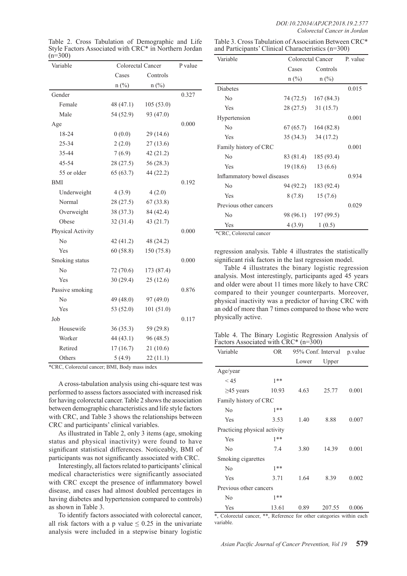| Variable          | Colorectal Cancer | P value        |       |
|-------------------|-------------------|----------------|-------|
|                   | Cases             | Controls       |       |
|                   | $n$ (%)           | $n(^{0}/_{0})$ |       |
| Gender            |                   |                | 0.327 |
| Female            | 48(47.1)          | 105(53.0)      |       |
| Male              | 54 (52.9)         | 93 (47.0)      |       |
| Age               |                   |                | 0.000 |
| 18-24             | 0(0.0)            | 29(14.6)       |       |
| 25-34             | 2(2.0)            | 27(13.6)       |       |
| 35-44             | 7(6.9)            | 42(21.2)       |       |
| 45-54             | 28(27.5)          | 56(28.3)       |       |
| 55 or older       | 65(63.7)          | 44 (22.2)      |       |
| BMI               |                   |                | 0.192 |
| Underweight       | 4(3.9)            | 4(2.0)         |       |
| Normal            | 28(27.5)          | 67(33.8)       |       |
| Overweight        | 38(37.3)          | 84 (42.4)      |       |
| Obese             | 32(31.4)          | 43 (21.7)      |       |
| Physical Activity |                   |                | 0.000 |
| N <sub>0</sub>    | 42(41.2)          | 48 (24.2)      |       |
| Yes               | 60(58.8)          | 150 (75.8)     |       |
| Smoking status    |                   |                | 0.000 |
| N <sub>0</sub>    | 72(70.6)          | 173 (87.4)     |       |
| Yes               | 30(29.4)          | 25(12.6)       |       |
| Passive smoking   |                   |                | 0.876 |
| N <sub>0</sub>    | 49 (48.0)         | 97 (49.0)      |       |
| Yes               | 53 (52.0)         | 101(51.0)      |       |
| Job               |                   |                | 0.117 |
| Housewife         | 36(35.3)          | 59 (29.8)      |       |
| Worker            | 44(43.1)          | 96 (48.5)      |       |
| Retired           | 17(16.7)          | 21(10.6)       |       |
| Others            | 5(4.9)            | 22(11.1)       |       |

Table 2. Cross Tabulation of Demographic and Life Style Factors Associated with CRC\* in Northern Jordan  $(n=300)$ 

Table 3. Cross Tabulation of Association Between CRC\* and Participants' Clinical Characteristics (n=300)

| Variable                    | Colorectal Cancer |            | P. value |
|-----------------------------|-------------------|------------|----------|
|                             | Cases             | Controls   |          |
|                             | $n$ $(\%)$        | $n$ (%)    |          |
| Diabetes                    |                   |            | 0.015    |
| N <sub>0</sub>              | 74 (72.5)         | 167(84.3)  |          |
| Yes                         | 28 (27.5)         | 31(15.7)   |          |
| Hypertension                |                   |            | 0.001    |
| No                          | 67 (65.7)         | 164(82.8)  |          |
| Yes                         | 35 (34.3)         | 34 (17.2)  |          |
| Family history of CRC       |                   |            | 0.001    |
| N <sub>0</sub>              | 83 (81.4)         | 185 (93.4) |          |
| Yes                         | 19 (18.6)         | 13(6.6)    |          |
| Inflammatory bowel diseases |                   | 0.934      |          |
| N <sub>0</sub>              | 94 (92.2)         | 183 (92.4) |          |
| Yes                         | 8 (7.8)           | 15(7.6)    |          |
| Previous other cancers      |                   |            | 0.029    |
| No                          | 98 (96.1)         | 197 (99.5) |          |
| Yes                         | 4(3.9)            | 1(0.5)     |          |
| $*CDC$ Coloractal cancer    |                   |            |          |

CRC, Colorectal cancer

regression analysis. Table 4 illustrates the statistically significant risk factors in the last regression model.

Table 4 illustrates the binary logistic regression analysis. Most interestingly, participants aged 45 years and older were about 11 times more likely to have CRC compared to their younger counterparts. Moreover, physical inactivity was a predictor of having CRC with an odd of more than 7 times compared to those who were physically active.

Table 4. The Binary Logistic Regression Analysis of Factors Associated with CRC\* (n=300)

| Variable                     | OR.   | 95% Conf. Interval |        | p.value |
|------------------------------|-------|--------------------|--------|---------|
|                              |       | Lower              | Upper  |         |
| Age/year                     |       |                    |        |         |
| < 45                         | $1**$ |                    |        |         |
| $\geq$ 45 years              | 10.93 | 4.63               | 25.77  | 0.001   |
| Family history of CRC        |       |                    |        |         |
| N <sub>0</sub>               | $1**$ |                    |        |         |
| Yes                          | 3.53  | 1.40               | 8.88   | 0.007   |
| Practicing physical activity |       |                    |        |         |
| Yes                          | $1**$ |                    |        |         |
| N <sub>0</sub>               | 7.4   | 3.80               | 14.39  | 0.001   |
| Smoking cigarettes           |       |                    |        |         |
| N <sub>0</sub>               | $1**$ |                    |        |         |
| Yes                          | 3.71  | 1.64               | 8.39   | 0.002   |
| Previous other cancers       |       |                    |        |         |
| N <sub>0</sub>               | $1**$ |                    |        |         |
| Yes                          | 13.61 | 0.89               | 207.55 | 0.006   |

\*, Colorectal cancer, \*\*, Reference for other categories within each variable.

\*CRC, Colorectal cancer; BMI, Body mass index

A cross-tabulation analysis using chi-square test was performed to assess factors associated with increased risk for having colorectal cancer. Table 2 shows the association between demographic characteristics and life style factors with CRC, and Table 3 shows the relationships between CRC and participants' clinical variables.

As illustrated in Table 2, only 3 items (age, smoking status and physical inactivity) were found to have significant statistical differences. Noticeably, BMI of participants was not significantly associated with CRC.

Interestingly, all factors related to participants' clinical medical characteristics were significantly associated with CRC except the presence of inflammatory bowel disease, and cases had almost doubled percentages in having diabetes and hypertension compared to controls) as shown in Table 3.

To identify factors associated with colorectal cancer, all risk factors with a p value  $\leq 0.25$  in the univariate analysis were included in a stepwise binary logistic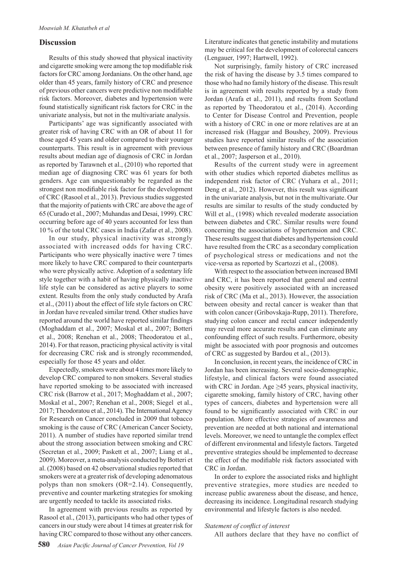## **Discussion**

Results of this study showed that physical inactivity and cigarette smoking were among the top modifiable risk factors for CRC among Jordanians. On the other hand, age older than 45 years, family history of CRC and presence of previous other cancers were predictive non modifiable risk factors. Moreover, diabetes and hypertension were found statistically significant risk factors for CRC in the univariate analysis, but not in the multivariate analysis.

Participants' age was significantly associated with greater risk of having CRC with an OR of about 11 for those aged 45 years and older compared to their younger counterparts. This result is in agreement with previous results about median age of diagnosis of CRC in Jordan as reported by Tarawneh et al., (2010) who reported that median age of diagnosing CRC was 61 years for both genders. Age can unquestionably be regarded as the strongest non modifiable risk factor for the development of CRC (Rasool et al., 2013). Previous studies suggested that the majority of patients with CRC are above the age of 65 (Curado et al., 2007; Muhandas and Desai, 1999). CRC occurring before age of 40 years accounted for less than 10 % of the total CRC cases in India (Zafar et al., 2008).

In our study, physical inactivity was strongly associated with increased odds for having CRC. Participants who were physically inactive were 7 times more likely to have CRC compared to their counterparts who were physically active. Adoption of a sedentary life style together with a habit of having physically inactive life style can be considered as active players to some extent. Results from the only study conducted by Arafa et al., (2011) about the effect of life style factors on CRC in Jordan have revealed similar trend. Other studies have reported around the world have reported similar findings (Moghaddam et al., 2007; Moskal et al., 2007; Botteri et al., 2008; Renehan et al., 2008; Theodoratou et al., 2014). For that reason, practicing physical activity is vital for decreasing CRC risk and is strongly recommended, especially for those 45 years and older.

Expectedly, smokers were about 4 times more likely to develop CRC compared to non smokers. Several studies have reported smoking to be associated with increased CRC risk (Barrow et al., 2017; Moghaddam et al., 2007; Moskal et al., 2007; Renehan et al., 2008; Siegel et al., 2017; Theodoratou et al., 2014). The International Agency for Research on Cancer concluded in 2009 that tobacco smoking is the cause of CRC (American Cancer Society, 2011). A number of studies have reported similar trend about the strong association between smoking and CRC (Secretan et al., 2009; Paskett et al., 2007; Liang et al., 2009). Moreover, a meta-analysis conducted by Botteri et al. (2008) based on 42 observational studies reported that smokers were at a greater risk of developing adenomatous polyps than non smokers (OR=2.14). Consequently, preventive and counter marketing strategies for smoking are urgently needed to tackle its associated risks.

In agreement with previous results as reported by Rasool et al., (2013), participants who had other types of cancers in our study were about 14 times at greater risk for having CRC compared to those without any other cancers.

Literature indicates that genetic instability and mutations may be critical for the development of colorectal cancers (Lengauer, 1997; Hartwell, 1992).

Not surprisingly, family history of CRC increased the risk of having the disease by 3.5 times compared to those who had no family history of the disease. This result is in agreement with results reported by a study from Jordan (Arafa et al., 2011), and results from Scotland as reported by Theodoratou et al., (2014). According to Center for Disease Control and Prevention, people with a history of CRC in one or more relatives are at an increased risk (Haggar and Boushey, 2009). Previous studies have reported similar results of the association between presence of family history and CRC (Boardman et al., 2007; Jasperson et al., 2010).

Results of the current study were in agreement with other studies which reported diabetes mellitus as independent risk factor of CRC (Yuhara et al., 2011; Deng et al., 2012). However, this result was significant in the univariate analysis, but not in the multivariate. Our results are similar to results of the study conducted by Will et al., (1998) which revealed moderate association between diabetes and CRC. Similar results were found concerning the associations of hypertension and CRC. These results suggest that diabetes and hypertension could have resulted from the CRC as a secondary complication of psychological stress or medications and not the vice-versa as reported by Scartozzi et al., (2008).

With respect to the association between increased BMI and CRC, it has been reported that general and central obesity were positively associated with an increased risk of CRC (Ma et al., 2013). However, the association between obesity and rectal cancer is weaker than that with colon cancer (Gribovskaja-Rupp, 2011). Therefore, studying colon cancer and rectal cancer independently may reveal more accurate results and can eliminate any confounding effect of such results. Furthermore, obesity might be associated with poor prognosis and outcomes of CRC as suggested by Bardou et al., (2013).

In conclusion, in recent years, the incidence of CRC in Jordan has been increasing. Several socio-demographic, lifestyle, and clinical factors were found associated with CRC in Jordan. Age  $\geq$ 45 years, physical inactivity, cigarette smoking, family history of CRC, having other types of cancers, diabetes and hypertension were all found to be significantly associated with CRC in our population. More effective strategies of awareness and prevention are needed at both national and international levels. Moreover, we need to untangle the complex effect of different environmental and lifestyle factors. Targeted preventive strategies should be implemented to decrease the effect of the modifiable risk factors associated with CRC in Jordan.

In order to explore the associated risks and highlight preventive strategies, more studies are needed to increase public awareness about the disease, and hence, decreasing its incidence. Longitudinal research studying environmental and lifestyle factors is also needed.

#### *Statement of conflict of interest*

All authors declare that they have no conflict of